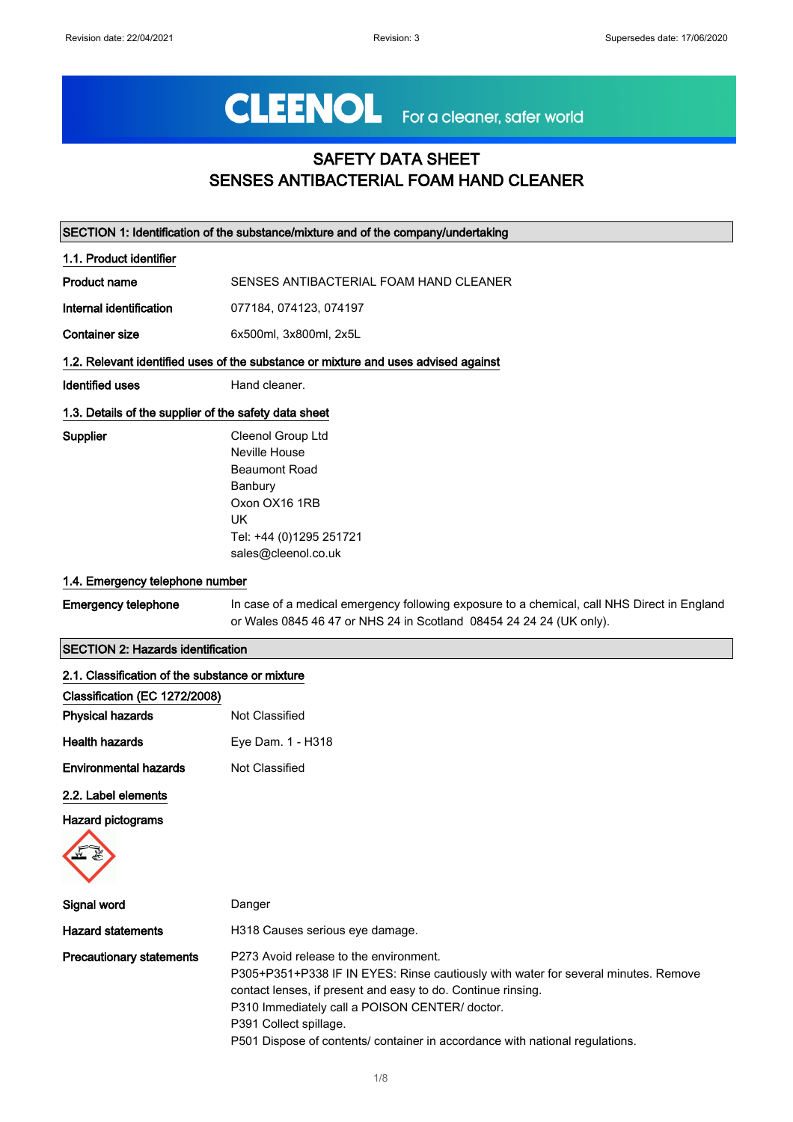# CLEENOL For a cleaner, safer world

## SAFETY DATA SHEET SENSES ANTIBACTERIAL FOAM HAND CLEANER

| SECTION 1: Identification of the substance/mixture and of the company/undertaking |                                                                                                                                                                    |
|-----------------------------------------------------------------------------------|--------------------------------------------------------------------------------------------------------------------------------------------------------------------|
| 1.1. Product identifier                                                           |                                                                                                                                                                    |
| <b>Product name</b>                                                               | SENSES ANTIBACTERIAL FOAM HAND CLEANER                                                                                                                             |
| Internal identification                                                           | 077184, 074123, 074197                                                                                                                                             |
| <b>Container size</b>                                                             | 6x500ml, 3x800ml, 2x5L                                                                                                                                             |
|                                                                                   | 1.2. Relevant identified uses of the substance or mixture and uses advised against                                                                                 |
| <b>Identified uses</b>                                                            | Hand cleaner.                                                                                                                                                      |
| 1.3. Details of the supplier of the safety data sheet                             |                                                                                                                                                                    |
| <b>Supplier</b>                                                                   | Cleenol Group Ltd                                                                                                                                                  |
|                                                                                   | Neville House                                                                                                                                                      |
|                                                                                   | <b>Beaumont Road</b>                                                                                                                                               |
|                                                                                   | Banbury                                                                                                                                                            |
|                                                                                   | Oxon OX16 1RB                                                                                                                                                      |
|                                                                                   | UK                                                                                                                                                                 |
|                                                                                   | Tel: +44 (0)1295 251721                                                                                                                                            |
|                                                                                   | sales@cleenol.co.uk                                                                                                                                                |
| 1.4. Emergency telephone number                                                   |                                                                                                                                                                    |
| <b>Emergency telephone</b>                                                        | In case of a medical emergency following exposure to a chemical, call NHS Direct in England<br>or Wales 0845 46 47 or NHS 24 in Scotland 08454 24 24 24 (UK only). |
| <b>SECTION 2: Hazards identification</b>                                          |                                                                                                                                                                    |
| 2.1. Classification of the substance or mixture                                   |                                                                                                                                                                    |

| 2. 1. Oldooliitation ol the ouboldhoc of mixture |                   |  |
|--------------------------------------------------|-------------------|--|
| Classification (EC 1272/2008)                    |                   |  |
| <b>Physical hazards</b>                          | Not Classified    |  |
| <b>Health hazards</b>                            | Eye Dam. 1 - H318 |  |
| <b>Environmental hazards</b>                     | Not Classified    |  |
|                                                  |                   |  |

2.2. Label elements

Hazard pictograms



| Signal word                     | Danger                                                                                                                                                                                                                                                                                                                                                   |
|---------------------------------|----------------------------------------------------------------------------------------------------------------------------------------------------------------------------------------------------------------------------------------------------------------------------------------------------------------------------------------------------------|
| <b>Hazard statements</b>        | H318 Causes serious eye damage.                                                                                                                                                                                                                                                                                                                          |
| <b>Precautionary statements</b> | P273 Avoid release to the environment.<br>P305+P351+P338 IF IN EYES: Rinse cautiously with water for several minutes. Remove<br>contact lenses, if present and easy to do. Continue rinsing.<br>P310 Immediately call a POISON CENTER/ doctor.<br>P391 Collect spillage.<br>P501 Dispose of contents/ container in accordance with national regulations. |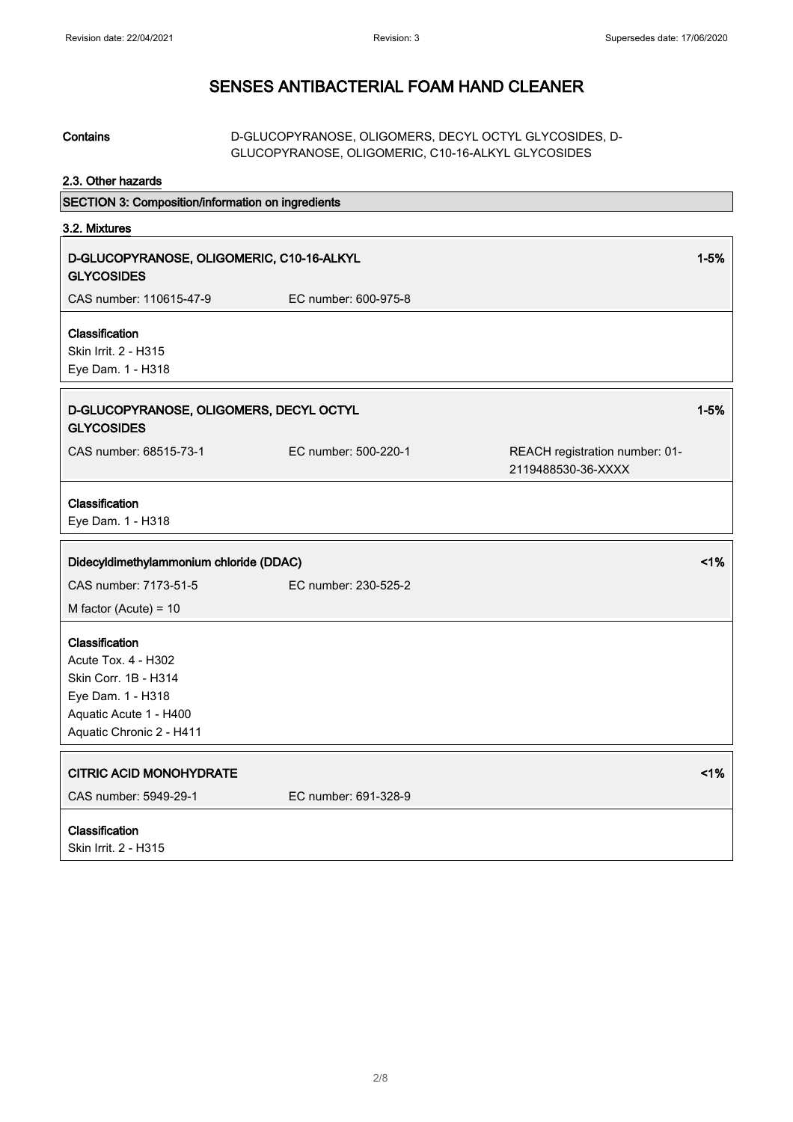| <b>Contains</b>                                                                                                                          | D-GLUCOPYRANOSE, OLIGOMERS, DECYL OCTYL GLYCOSIDES, D-<br>GLUCOPYRANOSE, OLIGOMERIC, C10-16-ALKYL GLYCOSIDES |                                                      |
|------------------------------------------------------------------------------------------------------------------------------------------|--------------------------------------------------------------------------------------------------------------|------------------------------------------------------|
| 2.3. Other hazards                                                                                                                       |                                                                                                              |                                                      |
| SECTION 3: Composition/information on ingredients                                                                                        |                                                                                                              |                                                      |
| 3.2. Mixtures                                                                                                                            |                                                                                                              |                                                      |
| D-GLUCOPYRANOSE, OLIGOMERIC, C10-16-ALKYL<br><b>GLYCOSIDES</b>                                                                           |                                                                                                              | $1 - 5%$                                             |
| CAS number: 110615-47-9                                                                                                                  | EC number: 600-975-8                                                                                         |                                                      |
| Classification<br>Skin Irrit. 2 - H315<br>Eye Dam. 1 - H318                                                                              |                                                                                                              |                                                      |
| D-GLUCOPYRANOSE, OLIGOMERS, DECYL OCTYL<br><b>GLYCOSIDES</b>                                                                             |                                                                                                              | $1 - 5%$                                             |
| CAS number: 68515-73-1                                                                                                                   | EC number: 500-220-1                                                                                         | REACH registration number: 01-<br>2119488530-36-XXXX |
| Classification<br>Eye Dam. 1 - H318                                                                                                      |                                                                                                              |                                                      |
| Didecyldimethylammonium chloride (DDAC)                                                                                                  |                                                                                                              | 1%                                                   |
| CAS number: 7173-51-5                                                                                                                    | EC number: 230-525-2                                                                                         |                                                      |
| M factor (Acute) = $10$                                                                                                                  |                                                                                                              |                                                      |
| Classification<br>Acute Tox. 4 - H302<br>Skin Corr. 1B - H314<br>Eye Dam. 1 - H318<br>Aquatic Acute 1 - H400<br>Aquatic Chronic 2 - H411 |                                                                                                              |                                                      |
| <b>CITRIC ACID MONOHYDRATE</b>                                                                                                           |                                                                                                              | $<$ 1%                                               |
| CAS number: 5949-29-1                                                                                                                    | EC number: 691-328-9                                                                                         |                                                      |
| Classification<br>Skin Irrit. 2 - H315                                                                                                   |                                                                                                              |                                                      |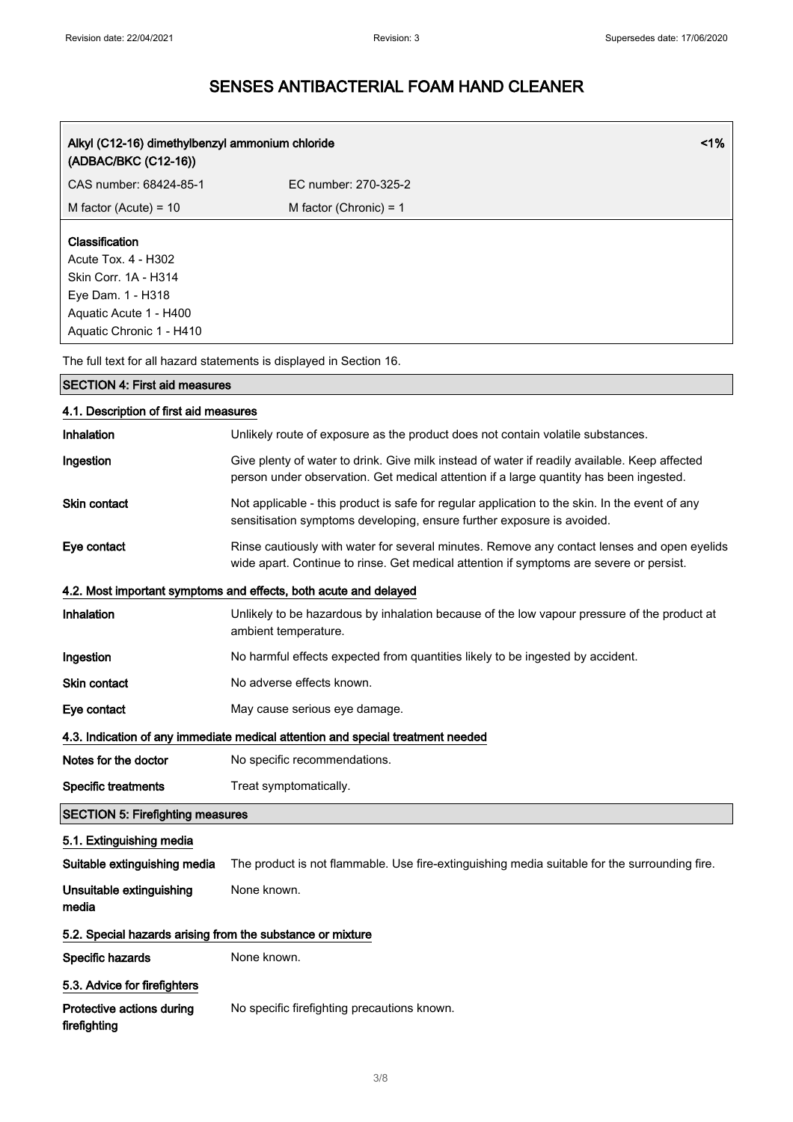| 1%<br>Alkyl (C12-16) dimethylbenzyl ammonium chloride<br>(ADBAC/BKC (C12-16))                                                            |                                                                                                                                                                                         |  |
|------------------------------------------------------------------------------------------------------------------------------------------|-----------------------------------------------------------------------------------------------------------------------------------------------------------------------------------------|--|
| CAS number: 68424-85-1                                                                                                                   | EC number: 270-325-2                                                                                                                                                                    |  |
| M factor (Acute) = $10$                                                                                                                  | M factor (Chronic) = $1$                                                                                                                                                                |  |
| Classification<br>Acute Tox. 4 - H302<br>Skin Corr. 1A - H314<br>Eye Dam. 1 - H318<br>Aquatic Acute 1 - H400<br>Aquatic Chronic 1 - H410 |                                                                                                                                                                                         |  |
|                                                                                                                                          | The full text for all hazard statements is displayed in Section 16.                                                                                                                     |  |
| <b>SECTION 4: First aid measures</b>                                                                                                     |                                                                                                                                                                                         |  |
| 4.1. Description of first aid measures                                                                                                   |                                                                                                                                                                                         |  |
| Inhalation                                                                                                                               | Unlikely route of exposure as the product does not contain volatile substances.                                                                                                         |  |
| Ingestion                                                                                                                                | Give plenty of water to drink. Give milk instead of water if readily available. Keep affected<br>person under observation. Get medical attention if a large quantity has been ingested. |  |
| <b>Skin contact</b>                                                                                                                      | Not applicable - this product is safe for regular application to the skin. In the event of any<br>sensitisation symptoms developing, ensure further exposure is avoided.                |  |
| Eye contact                                                                                                                              | Rinse cautiously with water for several minutes. Remove any contact lenses and open eyelids<br>wide apart. Continue to rinse. Get medical attention if symptoms are severe or persist.  |  |
|                                                                                                                                          | 4.2. Most important symptoms and effects, both acute and delayed                                                                                                                        |  |
| Inhalation                                                                                                                               | Unlikely to be hazardous by inhalation because of the low vapour pressure of the product at<br>ambient temperature.                                                                     |  |
| Ingestion                                                                                                                                | No harmful effects expected from quantities likely to be ingested by accident.                                                                                                          |  |
| <b>Skin contact</b>                                                                                                                      | No adverse effects known.                                                                                                                                                               |  |
| Eye contact                                                                                                                              | May cause serious eye damage.                                                                                                                                                           |  |
|                                                                                                                                          | 4.3. Indication of any immediate medical attention and special treatment needed                                                                                                         |  |
| Notes for the doctor                                                                                                                     | No specific recommendations.                                                                                                                                                            |  |
| <b>Specific treatments</b>                                                                                                               | Treat symptomatically.                                                                                                                                                                  |  |
| <b>SECTION 5: Firefighting measures</b>                                                                                                  |                                                                                                                                                                                         |  |
| 5.1. Extinguishing media                                                                                                                 |                                                                                                                                                                                         |  |
| Suitable extinguishing media                                                                                                             | The product is not flammable. Use fire-extinguishing media suitable for the surrounding fire.                                                                                           |  |
| Unsuitable extinguishing<br>media                                                                                                        | None known.                                                                                                                                                                             |  |
| 5.2. Special hazards arising from the substance or mixture                                                                               |                                                                                                                                                                                         |  |
| Specific hazards                                                                                                                         | None known.                                                                                                                                                                             |  |
| 5.3. Advice for firefighters                                                                                                             |                                                                                                                                                                                         |  |
| Protective actions during<br>firefighting                                                                                                | No specific firefighting precautions known.                                                                                                                                             |  |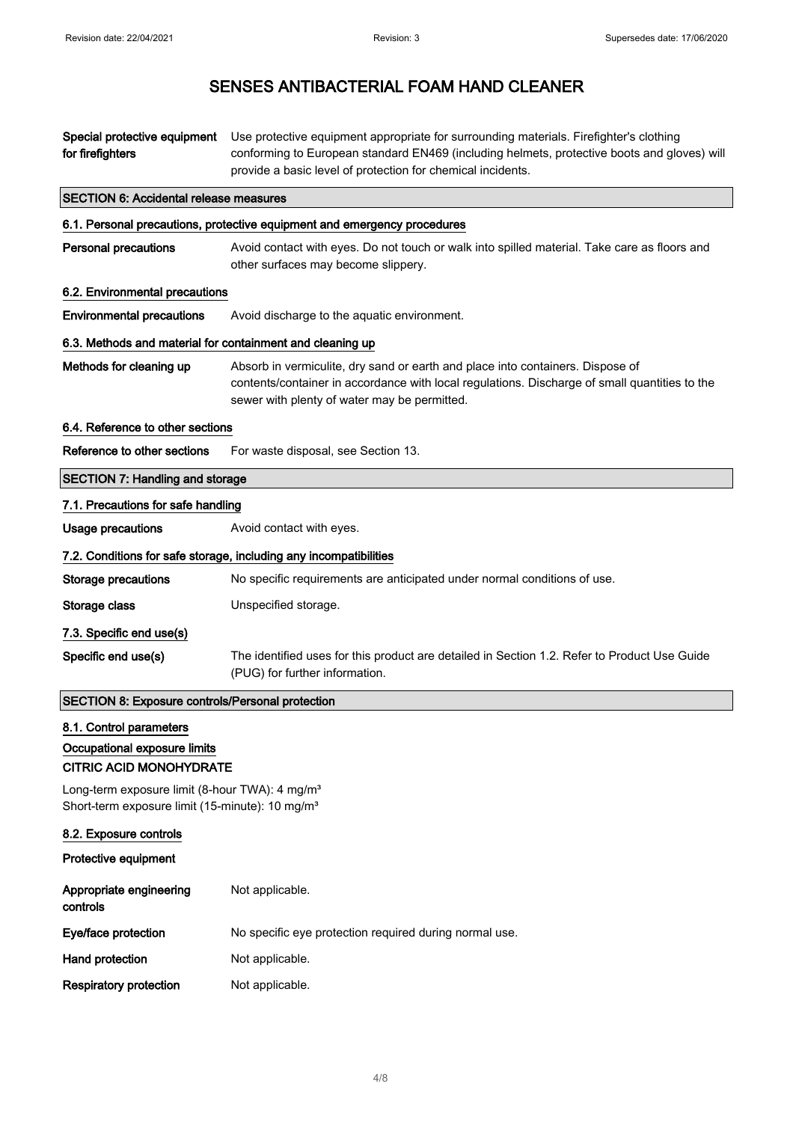| Special protective equipment<br>for firefighters                                                                          | Use protective equipment appropriate for surrounding materials. Firefighter's clothing<br>conforming to European standard EN469 (including helmets, protective boots and gloves) will<br>provide a basic level of protection for chemical incidents. |  |
|---------------------------------------------------------------------------------------------------------------------------|------------------------------------------------------------------------------------------------------------------------------------------------------------------------------------------------------------------------------------------------------|--|
| <b>SECTION 6: Accidental release measures</b>                                                                             |                                                                                                                                                                                                                                                      |  |
|                                                                                                                           | 6.1. Personal precautions, protective equipment and emergency procedures                                                                                                                                                                             |  |
| <b>Personal precautions</b>                                                                                               | Avoid contact with eyes. Do not touch or walk into spilled material. Take care as floors and<br>other surfaces may become slippery.                                                                                                                  |  |
| 6.2. Environmental precautions                                                                                            |                                                                                                                                                                                                                                                      |  |
| <b>Environmental precautions</b>                                                                                          | Avoid discharge to the aquatic environment.                                                                                                                                                                                                          |  |
| 6.3. Methods and material for containment and cleaning up                                                                 |                                                                                                                                                                                                                                                      |  |
| Methods for cleaning up                                                                                                   | Absorb in vermiculite, dry sand or earth and place into containers. Dispose of<br>contents/container in accordance with local regulations. Discharge of small quantities to the<br>sewer with plenty of water may be permitted.                      |  |
| 6.4. Reference to other sections                                                                                          |                                                                                                                                                                                                                                                      |  |
| Reference to other sections                                                                                               | For waste disposal, see Section 13.                                                                                                                                                                                                                  |  |
| <b>SECTION 7: Handling and storage</b>                                                                                    |                                                                                                                                                                                                                                                      |  |
| 7.1. Precautions for safe handling                                                                                        |                                                                                                                                                                                                                                                      |  |
| <b>Usage precautions</b>                                                                                                  | Avoid contact with eyes.                                                                                                                                                                                                                             |  |
|                                                                                                                           | 7.2. Conditions for safe storage, including any incompatibilities                                                                                                                                                                                    |  |
| <b>Storage precautions</b>                                                                                                | No specific requirements are anticipated under normal conditions of use.                                                                                                                                                                             |  |
| Storage class                                                                                                             | Unspecified storage.                                                                                                                                                                                                                                 |  |
| 7.3. Specific end use(s)                                                                                                  |                                                                                                                                                                                                                                                      |  |
| Specific end use(s)                                                                                                       | The identified uses for this product are detailed in Section 1.2. Refer to Product Use Guide<br>(PUG) for further information.                                                                                                                       |  |
| SECTION 8: Exposure controls/Personal protection                                                                          |                                                                                                                                                                                                                                                      |  |
| 8.1. Control parameters<br>Occupational exposure limits<br><b>CITRIC ACID MONOHYDRATE</b>                                 |                                                                                                                                                                                                                                                      |  |
| Long-term exposure limit (8-hour TWA): 4 mg/m <sup>3</sup><br>Short-term exposure limit (15-minute): 10 mg/m <sup>3</sup> |                                                                                                                                                                                                                                                      |  |
| 8.2. Exposure controls                                                                                                    |                                                                                                                                                                                                                                                      |  |
| Protective equipment                                                                                                      |                                                                                                                                                                                                                                                      |  |
| Appropriate engineering<br>controls                                                                                       | Not applicable.                                                                                                                                                                                                                                      |  |
| Eye/face protection                                                                                                       | No specific eye protection required during normal use.                                                                                                                                                                                               |  |
| Hand protection                                                                                                           | Not applicable.                                                                                                                                                                                                                                      |  |
| <b>Respiratory protection</b>                                                                                             | Not applicable.                                                                                                                                                                                                                                      |  |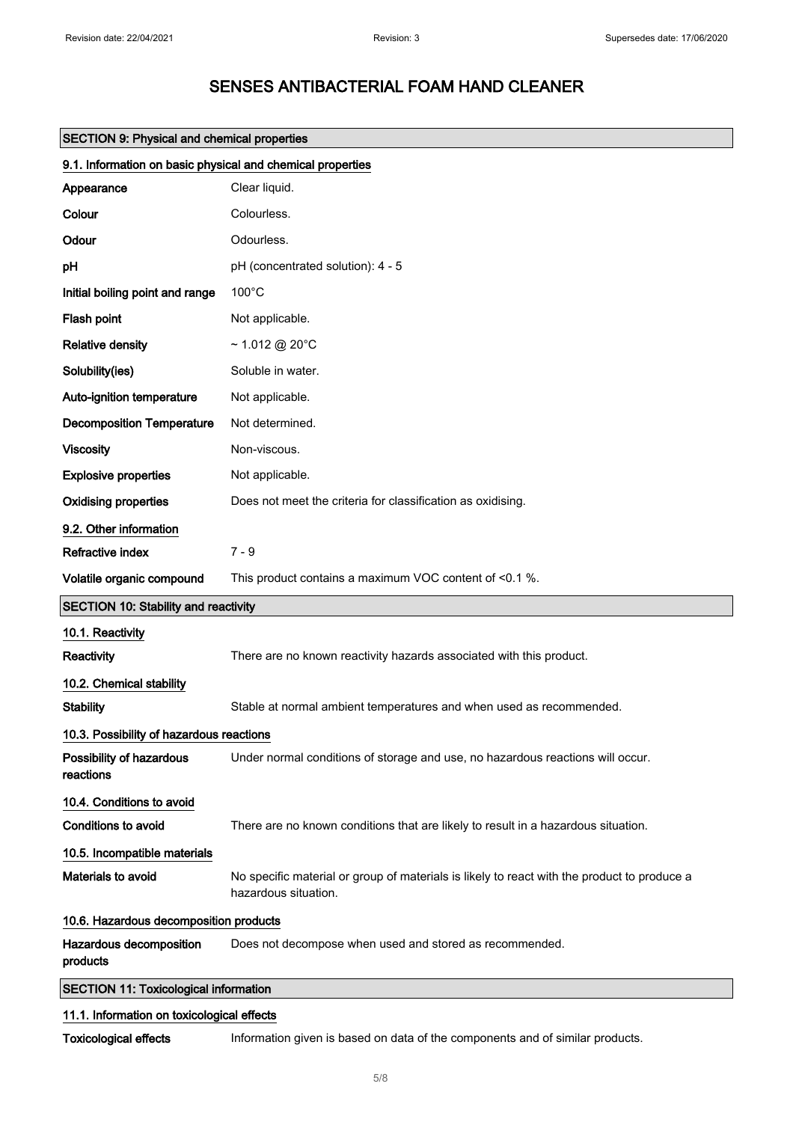|                                                            | <b>SECTION 9: Physical and chemical properties</b>                                                                  |  |  |
|------------------------------------------------------------|---------------------------------------------------------------------------------------------------------------------|--|--|
| 9.1. Information on basic physical and chemical properties |                                                                                                                     |  |  |
| Appearance                                                 | Clear liquid.                                                                                                       |  |  |
| Colour                                                     | Colourless.                                                                                                         |  |  |
| Odour                                                      | Odourless.                                                                                                          |  |  |
| pH                                                         | pH (concentrated solution): 4 - 5                                                                                   |  |  |
| Initial boiling point and range                            | $100^{\circ}$ C                                                                                                     |  |  |
| Flash point                                                | Not applicable.                                                                                                     |  |  |
| <b>Relative density</b>                                    | $\sim$ 1.012 @ 20°C                                                                                                 |  |  |
| Solubility(ies)                                            | Soluble in water.                                                                                                   |  |  |
| Auto-ignition temperature                                  | Not applicable.                                                                                                     |  |  |
| <b>Decomposition Temperature</b>                           | Not determined.                                                                                                     |  |  |
| <b>Viscosity</b>                                           | Non-viscous.                                                                                                        |  |  |
| <b>Explosive properties</b>                                | Not applicable.                                                                                                     |  |  |
| <b>Oxidising properties</b>                                | Does not meet the criteria for classification as oxidising.                                                         |  |  |
| 9.2. Other information                                     |                                                                                                                     |  |  |
| Refractive index                                           | $7 - 9$                                                                                                             |  |  |
| Volatile organic compound                                  | This product contains a maximum VOC content of <0.1 %.                                                              |  |  |
| <b>SECTION 10: Stability and reactivity</b>                |                                                                                                                     |  |  |
| 10.1. Reactivity                                           |                                                                                                                     |  |  |
| Reactivity                                                 | There are no known reactivity hazards associated with this product.                                                 |  |  |
| 10.2. Chemical stability                                   |                                                                                                                     |  |  |
| <b>Stability</b>                                           | Stable at normal ambient temperatures and when used as recommended.                                                 |  |  |
| 10.3. Possibility of hazardous reactions                   |                                                                                                                     |  |  |
| Possibility of hazardous<br>reactions                      | Under normal conditions of storage and use, no hazardous reactions will occur.                                      |  |  |
| 10.4. Conditions to avoid                                  |                                                                                                                     |  |  |
| <b>Conditions to avoid</b>                                 | There are no known conditions that are likely to result in a hazardous situation.                                   |  |  |
| 10.5. Incompatible materials                               |                                                                                                                     |  |  |
| <b>Materials to avoid</b>                                  | No specific material or group of materials is likely to react with the product to produce a<br>hazardous situation. |  |  |
| 10.6. Hazardous decomposition products                     |                                                                                                                     |  |  |
| Hazardous decomposition<br>products                        | Does not decompose when used and stored as recommended.                                                             |  |  |
| <b>SECTION 11: Toxicological information</b>               |                                                                                                                     |  |  |
| 11.1. Information on toxicological effects                 |                                                                                                                     |  |  |

Toxicological effects Information given is based on data of the components and of similar products.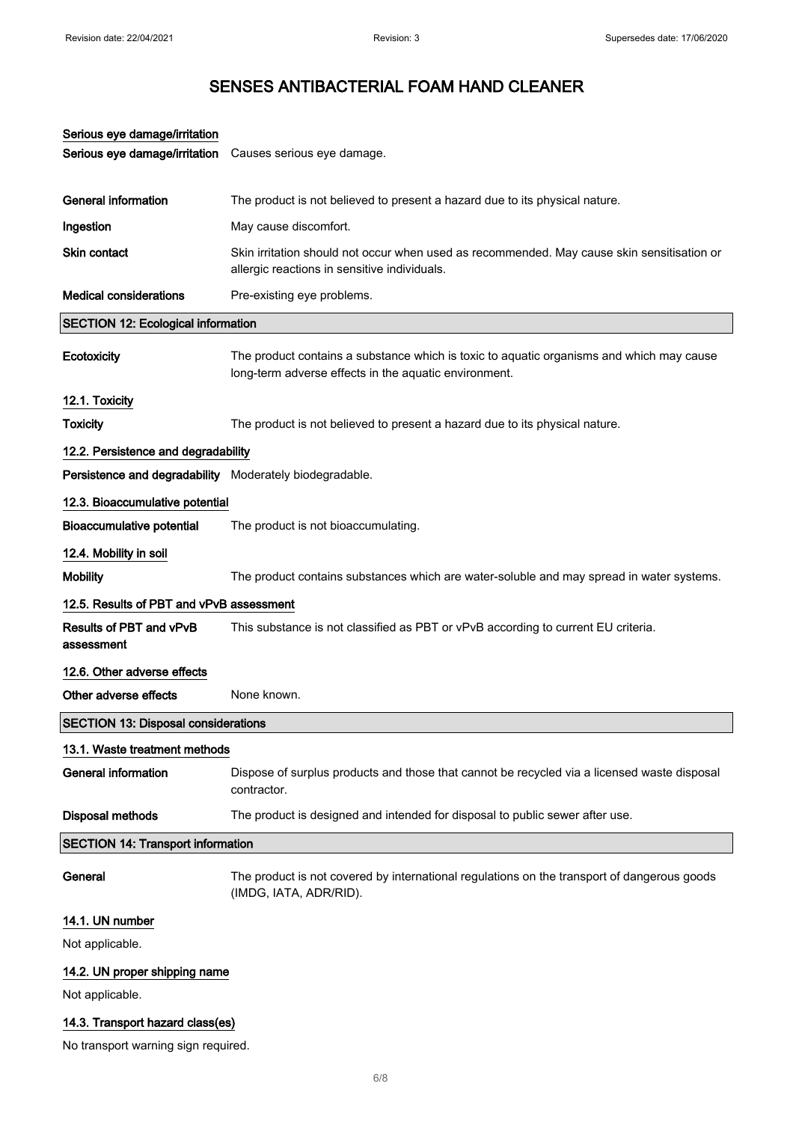| Serious eye damage/irritation                           |                                                                                                                                                   |
|---------------------------------------------------------|---------------------------------------------------------------------------------------------------------------------------------------------------|
| Serious eye damage/irritation                           | Causes serious eye damage.                                                                                                                        |
|                                                         |                                                                                                                                                   |
| <b>General information</b>                              | The product is not believed to present a hazard due to its physical nature.                                                                       |
| Ingestion                                               | May cause discomfort.                                                                                                                             |
| Skin contact                                            | Skin irritation should not occur when used as recommended. May cause skin sensitisation or<br>allergic reactions in sensitive individuals.        |
| <b>Medical considerations</b>                           | Pre-existing eye problems.                                                                                                                        |
| <b>SECTION 12: Ecological information</b>               |                                                                                                                                                   |
| Ecotoxicity                                             | The product contains a substance which is toxic to aquatic organisms and which may cause<br>long-term adverse effects in the aquatic environment. |
| 12.1. Toxicity                                          |                                                                                                                                                   |
| <b>Toxicity</b>                                         | The product is not believed to present a hazard due to its physical nature.                                                                       |
| 12.2. Persistence and degradability                     |                                                                                                                                                   |
| Persistence and degradability Moderately biodegradable. |                                                                                                                                                   |
| 12.3. Bioaccumulative potential                         |                                                                                                                                                   |
| <b>Bioaccumulative potential</b>                        | The product is not bioaccumulating.                                                                                                               |
| 12.4. Mobility in soil                                  |                                                                                                                                                   |
| <b>Mobility</b>                                         | The product contains substances which are water-soluble and may spread in water systems.                                                          |
| 12.5. Results of PBT and vPvB assessment                |                                                                                                                                                   |
| <b>Results of PBT and vPvB</b><br>assessment            | This substance is not classified as PBT or vPvB according to current EU criteria.                                                                 |
| 12.6. Other adverse effects                             |                                                                                                                                                   |
| Other adverse effects                                   | None known.                                                                                                                                       |
| <b>SECTION 13: Disposal considerations</b>              |                                                                                                                                                   |
| 13.1. Waste treatment methods                           |                                                                                                                                                   |
| <b>General information</b>                              | Dispose of surplus products and those that cannot be recycled via a licensed waste disposal<br>contractor.                                        |
| <b>Disposal methods</b>                                 | The product is designed and intended for disposal to public sewer after use.                                                                      |
| <b>SECTION 14: Transport information</b>                |                                                                                                                                                   |
| General                                                 | The product is not covered by international regulations on the transport of dangerous goods<br>(IMDG, IATA, ADR/RID).                             |
| 14.1. UN number                                         |                                                                                                                                                   |
| Not applicable.                                         |                                                                                                                                                   |
| 14.2. UN proper shipping name                           |                                                                                                                                                   |
| Not applicable.                                         |                                                                                                                                                   |
|                                                         |                                                                                                                                                   |

### 14.3. Transport hazard class(es)

No transport warning sign required.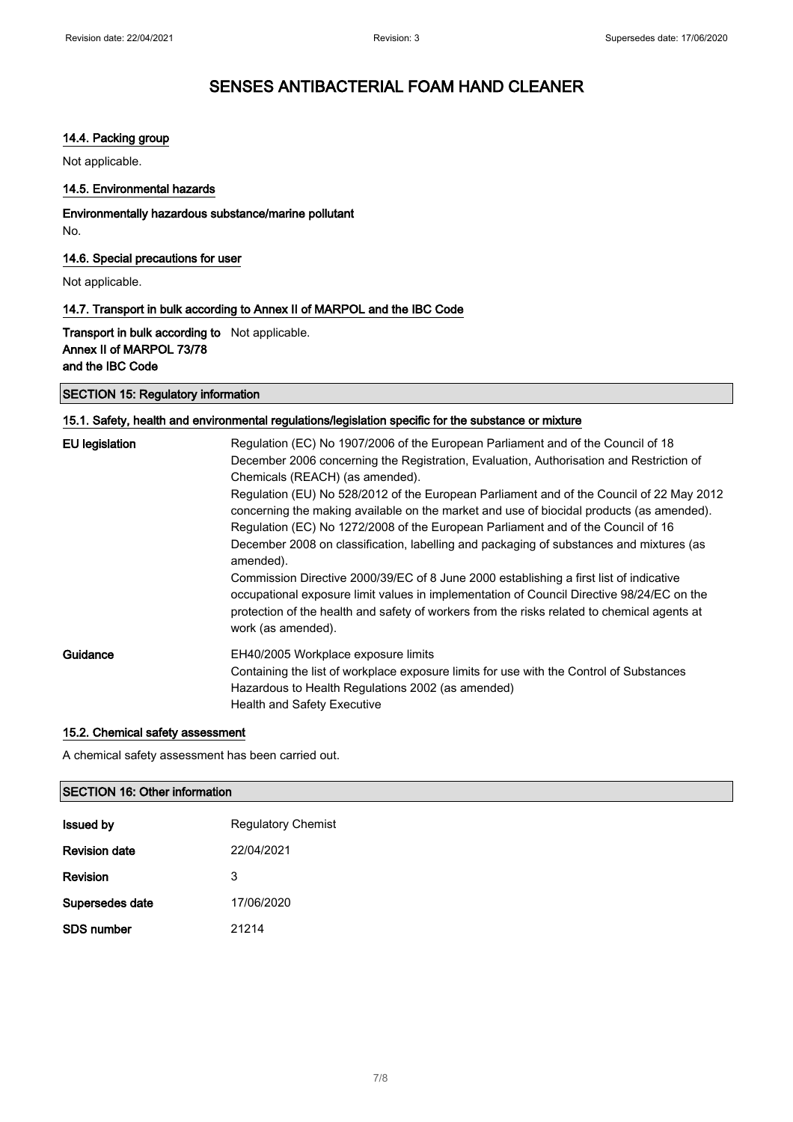#### 14.4. Packing group

Not applicable.

#### 14.5. Environmental hazards

Environmentally hazardous substance/marine pollutant No.

#### 14.6. Special precautions for user

Not applicable.

#### 14.7. Transport in bulk according to Annex II of MARPOL and the IBC Code

**Transport in bulk according to** Not applicable. Annex II of MARPOL 73/78 and the IBC Code

#### SECTION 15: Regulatory information

#### 15.1. Safety, health and environmental regulations/legislation specific for the substance or mixture

| <b>EU</b> legislation | Regulation (EC) No 1907/2006 of the European Parliament and of the Council of 18<br>December 2006 concerning the Registration, Evaluation, Authorisation and Restriction of<br>Chemicals (REACH) (as amended).<br>Regulation (EU) No 528/2012 of the European Parliament and of the Council of 22 May 2012<br>concerning the making available on the market and use of biocidal products (as amended).<br>Regulation (EC) No 1272/2008 of the European Parliament and of the Council of 16<br>December 2008 on classification, labelling and packaging of substances and mixtures (as<br>amended).<br>Commission Directive 2000/39/EC of 8 June 2000 establishing a first list of indicative<br>occupational exposure limit values in implementation of Council Directive 98/24/EC on the<br>protection of the health and safety of workers from the risks related to chemical agents at |
|-----------------------|------------------------------------------------------------------------------------------------------------------------------------------------------------------------------------------------------------------------------------------------------------------------------------------------------------------------------------------------------------------------------------------------------------------------------------------------------------------------------------------------------------------------------------------------------------------------------------------------------------------------------------------------------------------------------------------------------------------------------------------------------------------------------------------------------------------------------------------------------------------------------------------|
|                       | work (as amended).                                                                                                                                                                                                                                                                                                                                                                                                                                                                                                                                                                                                                                                                                                                                                                                                                                                                       |
| Guidance              | EH40/2005 Workplace exposure limits<br>Containing the list of workplace exposure limits for use with the Control of Substances<br>Hazardous to Health Regulations 2002 (as amended)<br><b>Health and Safety Executive</b>                                                                                                                                                                                                                                                                                                                                                                                                                                                                                                                                                                                                                                                                |

#### 15.2. Chemical safety assessment

A chemical safety assessment has been carried out.

#### SECTION 16: Other information

| <b>Issued by</b>     | <b>Regulatory Chemist</b> |
|----------------------|---------------------------|
| <b>Revision date</b> | 22/04/2021                |
| <b>Revision</b>      | 3                         |
| Supersedes date      | 17/06/2020                |
| <b>SDS number</b>    | 21214                     |